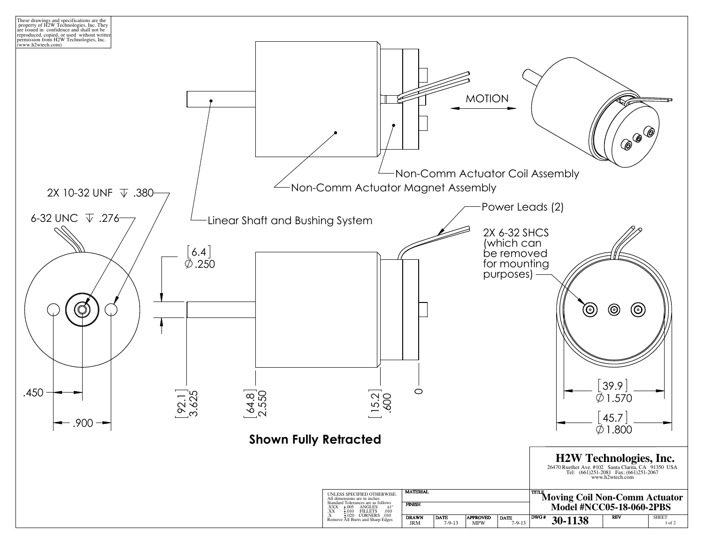